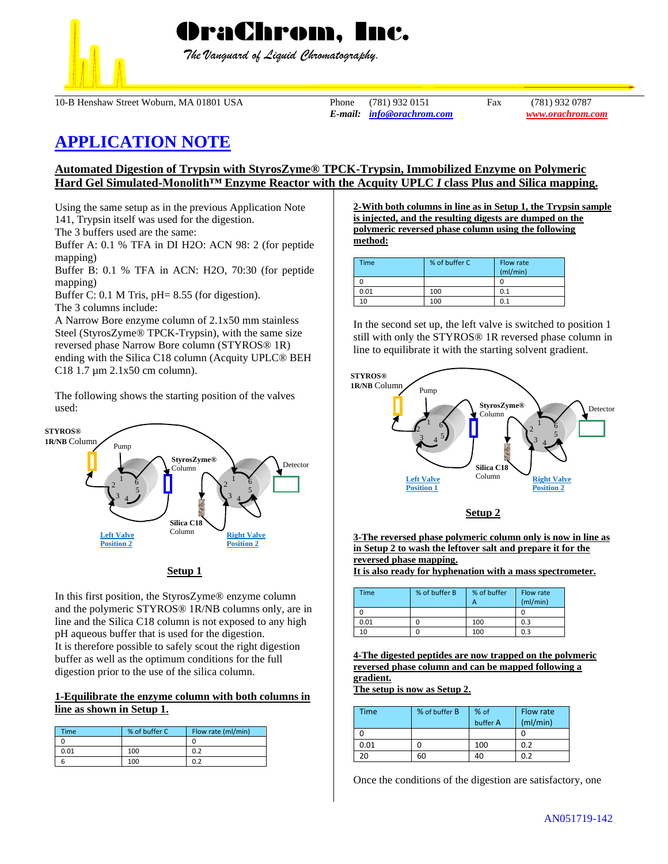

 *The Vanguard of Liquid Chromatography.*

10-B Henshaw Street Woburn, MA 01801 USA Phone (781) 932 0151 Fax (781) 932 0787

*E-mail: [info@orachrom.com](mailto:info@orachrom.com) www.orachrom.com*

# **APPLICATION NOTE**

## **Automated Digestion of Trypsin with StyrosZyme® TPCK-Trypsin, Immobilized Enzyme on Polymeric Hard Gel Simulated-Monolith™ Enzyme Reactor with the Acquity UPLC** *I* **class Plus and Silica mapping.**

Using the same setup as in the previous Application Note 141, Trypsin itself was used for the digestion. The 3 buffers used are the same:

Buffer A: 0.1 % TFA in DI H2O: ACN 98: 2 (for peptide mapping)

Buffer B: 0.1 % TFA in ACN: H2O, 70:30 (for peptide mapping)

Buffer C: 0.1 M Tris, pH= 8.55 (for digestion).

The 3 columns include:

A Narrow Bore enzyme column of 2.1x50 mm stainless Steel (StyrosZyme® TPCK-Trypsin), with the same size reversed phase Narrow Bore column (STYROS® 1R) ending with the Silica C18 column (Acquity UPLC® BEH C18 1.7 µm 2.1x50 cm column).

The following shows the starting position of the valves used:



**Setup 1**

In this first position, the StyrosZyme® enzyme column and the polymeric STYROS® 1R/NB columns only, are in line and the Silica C18 column is not exposed to any high pH aqueous buffer that is used for the digestion. It is therefore possible to safely scout the right digestion buffer as well as the optimum conditions for the full digestion prior to the use of the silica column.

## **1-Equilibrate the enzyme column with both columns in line as shown in Setup 1.**

| <b>Time</b> | % of buffer C | Flow rate (ml/min) |
|-------------|---------------|--------------------|
|             |               |                    |
| 0.01        | 100           | 0.2                |
|             | 100           |                    |

**2-With both columns in line as in Setup 1, the Trypsin sample is injected, and the resulting digests are dumped on the polymeric reversed phase column using the following method:**

| <b>Time</b> | % of buffer C | Flow rate<br>(mI/min) |
|-------------|---------------|-----------------------|
|             |               |                       |
| 0.01        | 100           | 0.1                   |
| 10          | 100           | 0.1                   |

In the second set up, the left valve is switched to position 1 still with only the STYROS® 1R reversed phase column in line to equilibrate it with the starting solvent gradient.





**3-The reversed phase polymeric column only is now in line as in Setup 2 to wash the leftover salt and prepare it for the reversed phase mapping.** 

**It is also ready for hyphenation with a mass spectrometer.** 

| Time | % of buffer B | % of buffer<br>А | Flow rate<br>(mI/min) |
|------|---------------|------------------|-----------------------|
|      |               |                  |                       |
| 0.01 |               | 100              | 0.3                   |
| 10   |               | 100              |                       |

**4-The digested peptides are now trapped on the polymeric reversed phase column and can be mapped following a gradient.**

**The setup is now as Setup 2.**

| Time | % of buffer B | % of<br>buffer A | Flow rate<br>(mI/min) |
|------|---------------|------------------|-----------------------|
|      |               |                  |                       |
| 0.01 |               | 100              | 0.2                   |
| 20   | 60            | 40               | በ ን                   |

Once the conditions of the digestion are satisfactory, one